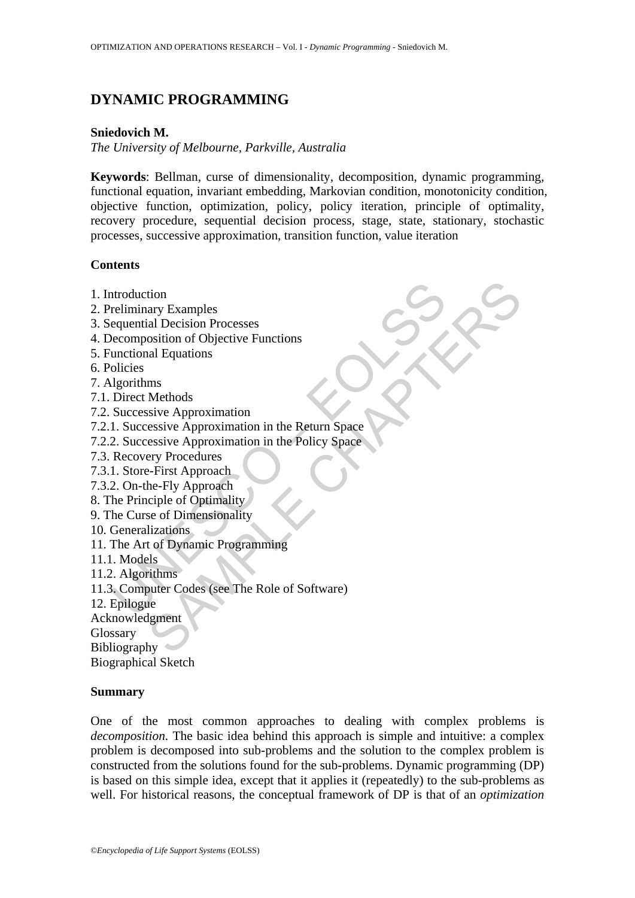# **DYNAMIC PROGRAMMING**

## **Sniedovich M.**

*The University of Melbourne, Parkville, Australia* 

**Keywords**: Bellman, curse of dimensionality, decomposition, dynamic programming, functional equation, invariant embedding, Markovian condition, monotonicity condition, objective function, optimization, policy, policy iteration, principle of optimality, recovery procedure, sequential decision process, stage, state, stationary, stochastic processes, successive approximation, transition function, value iteration

## **Contents**

- 1. Introduction
- 2. Preliminary Examples
- 3. Sequential Decision Processes
- 4. Decomposition of Objective Functions
- 5. Functional Equations
- 6. Policies
- 7. Algorithms
- 7.1. Direct Methods
- 7.2. Successive Approximation
- ntroduction<br>
reliminary Examples<br>
equential Decision Processes<br>
ecomposition of Objective Functions<br>
unctional Equations<br>
lgorithms<br>
Direct Methods<br>
Successive Approximation in the Return Space<br>
Recovery Procedures<br>
2. Suc tion<br>
any Examples<br>
all Decision Processes<br>
cosition of Objective Functions<br>
Methods<br>
Methods<br>
Sive Approximation in the Return Space<br>
essive Approximation in the Policy Space<br>
essive Approximation in the Policy Space<br>
ess 7.2.1. Successive Approximation in the Return Space
- 7.2.2. Successive Approximation in the Policy Space
- 7.3. Recovery Procedures
- 7.3.1. Store-First Approach
- 7.3.2. On-the-Fly Approach
- 8. The Principle of Optimality
- 9. The Curse of Dimensionality
- 10. Generalizations
- 11. The Art of Dynamic Programming
- 11.1. Models
- 11.2. Algorithms
- 11.3. Computer Codes (see The Role of Software)
- 12. Epilogue
- Acknowledgment

Glossary

Bibliography

Biographical Sketch

## **Summary**

One of the most common approaches to dealing with complex problems is *decomposition*. The basic idea behind this approach is simple and intuitive: a complex problem is decomposed into sub-problems and the solution to the complex problem is constructed from the solutions found for the sub-problems. Dynamic programming (DP) is based on this simple idea, except that it applies it (repeatedly) to the sub-problems as well. For historical reasons, the conceptual framework of DP is that of an *optimization*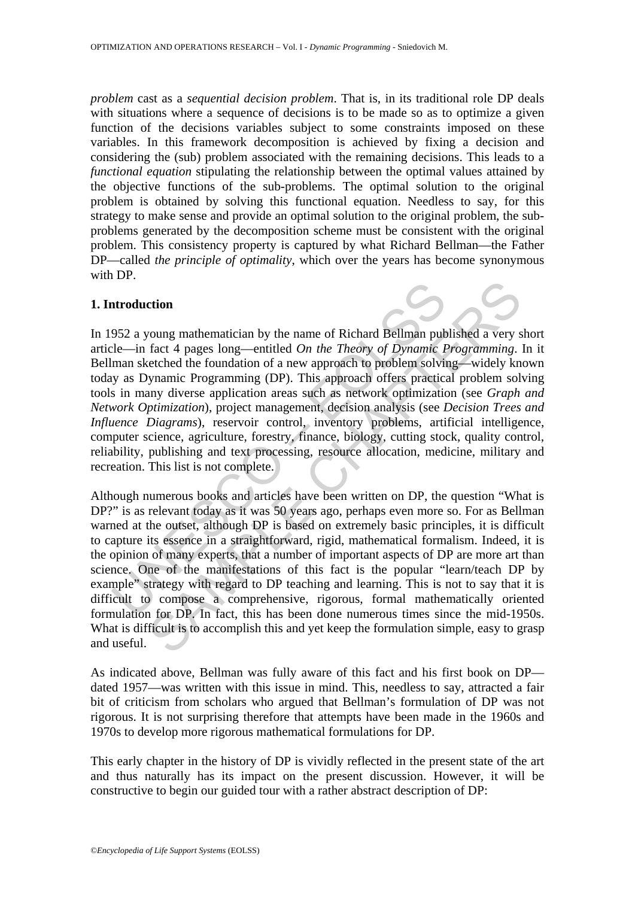*problem* cast as a *sequential decision problem*. That is, in its traditional role DP deals with situations where a sequence of decisions is to be made so as to optimize a given function of the decisions variables subject to some constraints imposed on these variables. In this framework decomposition is achieved by fixing a decision and considering the (sub) problem associated with the remaining decisions. This leads to a *functional equation* stipulating the relationship between the optimal values attained by the objective functions of the sub-problems. The optimal solution to the original problem is obtained by solving this functional equation. Needless to say, for this strategy to make sense and provide an optimal solution to the original problem, the subproblems generated by the decomposition scheme must be consistent with the original problem. This consistency property is captured by what Richard Bellman—the Father DP—called *the principle of optimality*, which over the years has become synonymous with DP.

## **1. Introduction**

**Accelemiate Space Space Space Space Space Space Space Space CI and the syable system and stected the foundation of a new approach to problem solving man stected the foundation of a new approach to problem solving y as Dy** In 1952 a young mathematician by the name of Richard Bellman published a very short article—in fact 4 pages long—entitled *On the Theory of Dynamic Programming*. In it Bellman sketched the foundation of a new approach to problem solving—widely known today as Dynamic Programming (DP). This approach offers practical problem solving tools in many diverse application areas such as network optimization (see *Graph and Network Optimization*), project management, decision analysis (see *Decision Trees and Influence Diagrams*), reservoir control, inventory problems, artificial intelligence, computer science, agriculture, forestry, finance, biology, cutting stock, quality control, reliability, publishing and text processing, resource allocation, medicine, military and recreation. This list is not complete.

ction<br>colong mathematician by the name of Richard Bellman published a very fact 4 pages long—entitled *On the Theory of Dynamic Programming*.<br>etched the foundation of a new approach to problem solving—widely kny<br>amay dive Although numerous books and articles have been written on DP, the question "What is DP?" is as relevant today as it was 50 years ago, perhaps even more so. For as Bellman warned at the outset, although DP is based on extremely basic principles, it is difficult to capture its essence in a straightforward, rigid, mathematical formalism. Indeed, it is the opinion of many experts, that a number of important aspects of DP are more art than science. One of the manifestations of this fact is the popular "learn/teach DP by example" strategy with regard to DP teaching and learning. This is not to say that it is difficult to compose a comprehensive, rigorous, formal mathematically oriented formulation for DP. In fact, this has been done numerous times since the mid-1950s. What is difficult is to accomplish this and yet keep the formulation simple, easy to grasp and useful.

As indicated above, Bellman was fully aware of this fact and his first book on DP dated 1957—was written with this issue in mind. This, needless to say, attracted a fair bit of criticism from scholars who argued that Bellman's formulation of DP was not rigorous. It is not surprising therefore that attempts have been made in the 1960s and 1970s to develop more rigorous mathematical formulations for DP.

This early chapter in the history of DP is vividly reflected in the present state of the art and thus naturally has its impact on the present discussion. However, it will be constructive to begin our guided tour with a rather abstract description of DP: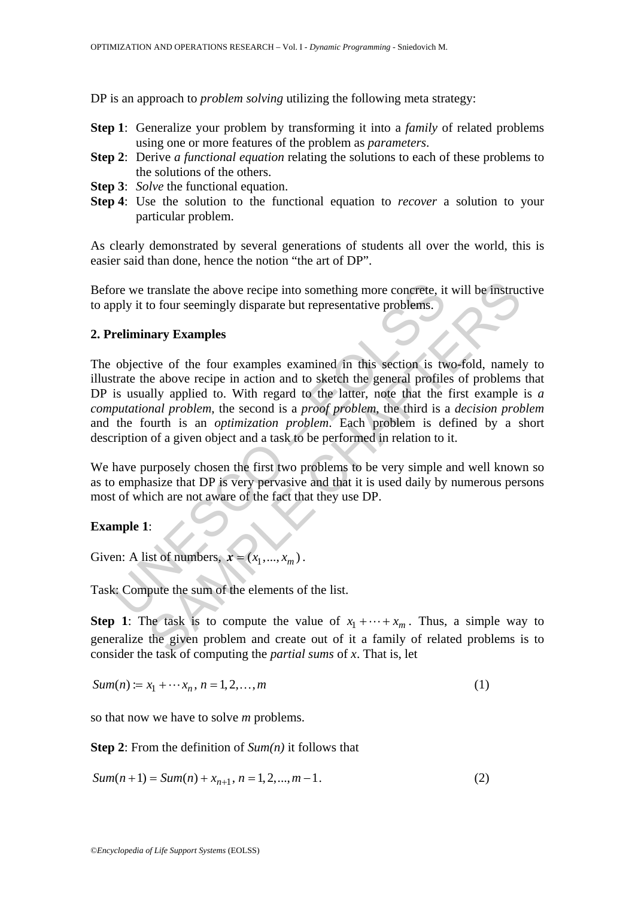DP is an approach to *problem solving* utilizing the following meta strategy:

- **Step 1**: Generalize your problem by transforming it into a *family* of related problems using one or more features of the problem as *parameters*.
- **Step 2**: Derive *a functional equation* relating the solutions to each of these problems to the solutions of the others.
- **Step 3**: *Solve* the functional equation.
- **Step 4**: Use the solution to the functional equation to *recover* a solution to your particular problem.

As clearly demonstrated by several generations of students all over the world, this is easier said than done, hence the notion "the art of DP".

Before we translate the above recipe into something more concrete, it will be instructive to apply it to four seemingly disparate but representative problems.

## **2. Preliminary Examples**

or we translate the above recipe into something more concrete, it<br>pply it to four seemingly disparate but representative problems.<br> **reliminary Examples**<br>
objective of the four examples examined in this section is two<br>
tr translate the above recipe into something more concrete, it will be instructed for the four seemingly disparate but representative problems.<br> **AMPLE CHAPTERS**<br>
STRIPTERS in action and to sketch the general profiles of pro The objective of the four examples examined in this section is two-fold, namely to illustrate the above recipe in action and to sketch the general profiles of problems that DP is usually applied to. With regard to the latter, note that the first example is *a computational problem*, the second is a *proof problem*, the third is a *decision problem* and the fourth is an *optimization problem*. Each problem is defined by a short description of a given object and a task to be performed in relation to it.

We have purposely chosen the first two problems to be very simple and well known so as to emphasize that DP is very pervasive and that it is used daily by numerous persons most of which are not aware of the fact that they use DP.

## **Example 1**:

Given: A list of numbers,  $\mathbf{x} = (x_1, ..., x_m)$ .

Task: Compute the sum of the elements of the list.

**Step 1**: The task is to compute the value of  $x_1 + \cdots + x_m$ . Thus, a simple way to generalize the given problem and create out of it a family of related problems is to consider the task of computing the *partial sums* of *x*. That is, let

$$
Sum(n) := x_1 + \dots + x_n, n = 1, 2, \dots, m
$$
\n(1)

so that now we have to solve *m* problems.

**Step 2**: From the definition of *Sum(n)* it follows that

$$
Sum(n + 1) = Sum(n) + x_{n+1}, n = 1, 2, ..., m - 1.
$$
\n(2)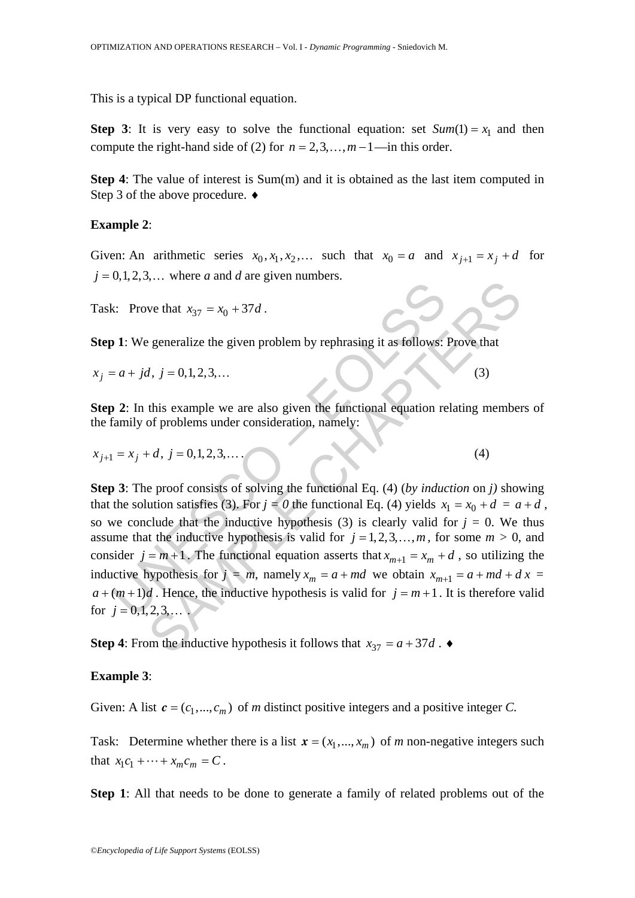This is a typical DP functional equation.

**Step 3**: It is very easy to solve the functional equation: set  $Sum(1) = x_1$  and then compute the right-hand side of (2) for  $n = 2, 3, \dots, m-1$ —in this order.

**Step 4**: The value of interest is Sum(m) and it is obtained as the last item computed in Step 3 of the above procedure. ♦

### **Example 2**:

Given: An arithmetic series  $x_0, x_1, x_2, ...$  such that  $x_0 = a$  and  $x_{i+1} = x_i + d$  for  $j = 0, 1, 2, 3, \ldots$  where *a* and *d* are given numbers.

Task: Prove that  $x_{37} = x_0 + 37d$ .

**Step 1**: We generalize the given problem by rephrasing it as follows: Prove that

 $x_i = a + jd, j = 0, 1, 2, 3, \dots$  (3)

**Step 2**: In this example we are also given the functional equation relating members of the family of problems under consideration, namely:

$$
x_{j+1} = x_j + d, \ j = 0, 1, 2, 3, \dots
$$
 (4)

1. Prove that  $x_{37} = x_0 + 37d$ .<br>
1. We generalize the given problem by rephrasing it as follows:<br>  $= a + jd$ ,  $j = 0, 1, 2, 3, ...$ <br>
2. In this example we are also given the functional equation refamily of problems under consider ve that  $x_{37} = x_0 + 37d$ .<br>
ve that  $x_{37} = x_0 + 37d$ .<br>
generalize the given problem by rephrasing it as follows: Prove that<br> *d*,  $j = 0, 1, 2, 3, ...$ <br>
(3)<br>
this example we are also given the functional equation relating memb **Step 3**: The proof consists of solving the functional Eq. (4) (*by induction* on *j)* showing that the solution satisfies (3). For  $j = 0$  the functional Eq. (4) yields  $x_1 = x_0 + d = a + d$ , so we conclude that the inductive hypothesis (3) is clearly valid for  $j = 0$ . We thus assume that the inductive hypothesis is valid for  $j = 1, 2, 3, ..., m$ , for some  $m > 0$ , and consider  $j = m + 1$ . The functional equation asserts that  $x_{m+1} = x_m + d$ , so utilizing the inductive hypothesis for  $j = m$ , namely  $x_m = a + md$  we obtain  $x_{m+1} = a + md + dx =$  $a + (m + 1)d$ . Hence, the inductive hypothesis is valid for  $j = m + 1$ . It is therefore valid for  $j = 0, 1, 2, 3, \ldots$ 

**Step 4**: From the inductive hypothesis it follows that  $x_{37} = a + 37d$ .

### **Example 3**:

Given: A list  $c = (c_1, ..., c_m)$  of *m* distinct positive integers and a positive integer *C*.

Task: Determine whether there is a list  $\mathbf{x} = (x_1, ..., x_m)$  of *m* non-negative integers such that  $x_1 c_1 + \cdots + x_m c_m = C$ .

**Step 1**: All that needs to be done to generate a family of related problems out of the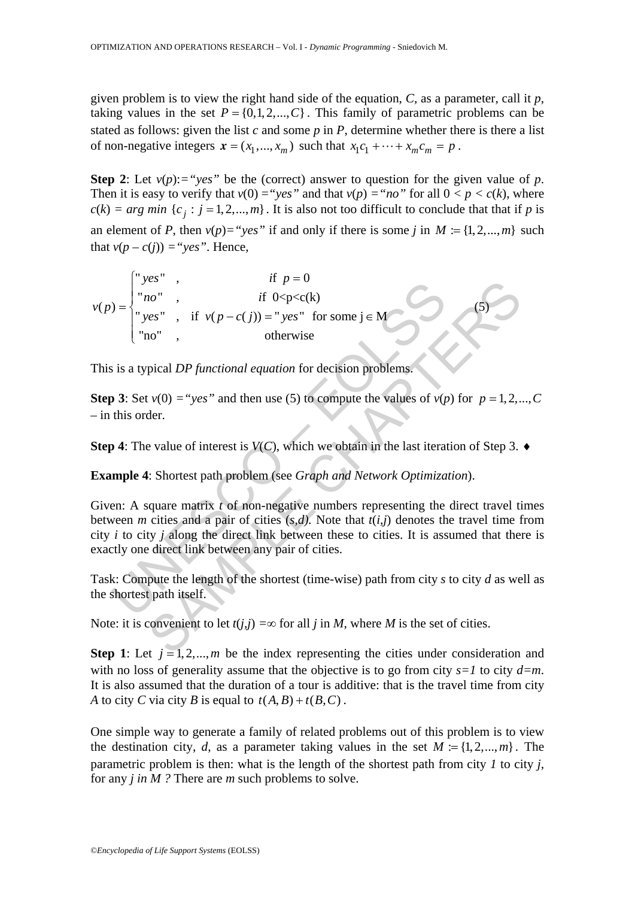given problem is to view the right hand side of the equation, *C,* as a parameter, call it *p*, taking values in the set  $P = \{0,1,2,..., C\}$ . This family of parametric problems can be stated as follows: given the list *c* and some *p* in *P*, determine whether there is there a list of non-negative integers  $\mathbf{x} = (x_1, ..., x_m)$  such that  $x_1 c_1 + \cdots + x_m c_m = p$ .

**Step 2**: Let  $v(p) := y e s$  be the (correct) answer to question for the given value of p. Then it is easy to verify that  $v(0) = "yes"$  and that  $v(p) = "no"$  for all  $0 < p < c(k)$ , where  $c(k) = arg min \{c_i : j = 1, 2, ..., m\}$ . It is also not too difficult to conclude that that if *p* is an element of *P*, then  $v(p) = \gamma e s$  if and only if there is some *j* in  $M := \{1, 2, ..., m\}$  such that  $v(p - c(j)) = "yes"$ . Hence,

$$
v(p) = \begin{cases} \n\text{" yes} & \text{if } p = 0 \\ \n\text{" no" } & \text{if } 0 < p < c(k) \\ \n\text{" yes" } & \text{if } v(p - c(j)) = \text{" yes} \n\end{cases} \quad (5)
$$
\n
$$
\text{otherwise}
$$

This is a typical *DP functional equation* for decision problems.

**Step 3**: Set  $v(0) = v$ – in this order.

**Step 4:** The value of interest is  $V(C)$ , which we obtain in the last iteration of Step 3.  $\bullet$ 

**Example 4**: Shortest path problem (see *Graph and Network Optimization*).

UNESCO – EOLSS to notice is  $h p - \nu$ <br>
samples of  $\mu p - \nu$ <br>
samples of  $\mu p - \nu$ <br>
samples of  $\mu(p - c(j)) = \nu g s^m$  for some  $j \in M$ <br>
so therewise<br>
pical *DP functional equation* for decision problems.<br>
<br>
samples if  $\nu(p)$  for  $p = 1, 2, ...$ <br>
der.<br> Given: A square matrix *t* of non-negative numbers representing the direct travel times between *m* cities and a pair of cities (*s,d).* Note that *t*(*i,j*) denotes the travel time from city *i* to city *j* along the direct link between these to cities. It is assumed that there is exactly one direct link between any pair of cities.

Task: Compute the length of the shortest (time-wise) path from city *s* to city *d* as well as the shortest path itself.

Note: it is convenient to let  $t(j, j) = \infty$  for all *j* in *M*, where *M* is the set of cities.

**Step 1:** Let  $j = 1, 2, \dots, m$  be the index representing the cities under consideration and with no loss of generality assume that the objective is to go from city *s=1* to city *d=m*. It is also assumed that the duration of a tour is additive: that is the travel time from city *A* to city *C* via city *B* is equal to  $t(A, B) + t(B, C)$ .

One simple way to generate a family of related problems out of this problem is to view the destination city, *d*, as a parameter taking values in the set  $M = \{1, 2, ..., m\}$ . The parametric problem is then: what is the length of the shortest path from city *1* to city *j,* for any *j in M ?* There are *m* such problems to solve.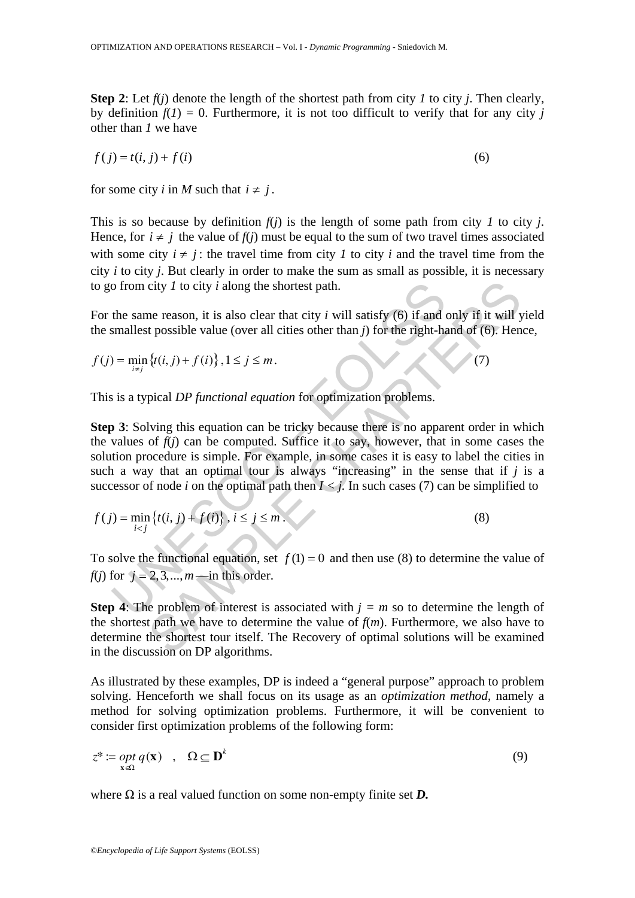**Step 2**: Let *f*(*j*) denote the length of the shortest path from city *1* to city *j*. Then clearly, by definition  $f(1) = 0$ . Furthermore, it is not too difficult to verify that for any city *j* other than *1* we have

$$
f(j) = t(i, j) + f(i)
$$
\n<sup>(6)</sup>

for some city *i* in *M* such that  $i \neq j$ .

This is so because by definition  $f(j)$  is the length of some path from city *1* to city *j*. Hence, for  $i \neq j$  the value of  $f(j)$  must be equal to the sum of two travel times associated with some city  $i \neq j$ : the travel time from city *l* to city *i* and the travel time from the city *i* to city *j*. But clearly in order to make the sum as small as possible, it is necessary to go from city *1* to city *i* along the shortest path.

For the same reason, it is also clear that city *i* will satisfy (6) if and only if it will yield the smallest possible value (over all cities other than *j*) for the right-hand of (6). Hence,

$$
f(j) = \min_{i \neq j} \{t(i, j) + f(i)\}, 1 \leq j \leq m.
$$
 (7)

This is a typical *DP functional equation* for optimization problems.

o from city *I* to city *i* along the shortest path.<br>
the same reason, it is also clear that city *i* will satisfy (6) if and<br>
smallest possible value (over all cities other than *j*) for the right-ha<br>  $y = \min_i \{t(i, j) + f(i)\},$ city *I* to city *i* along the shortest path.<br>
me reason, it is also clear that city *i* will satisfy (6) if and only if it will y th possible value (over all cities other than *j*) for the right-hand of (6). Hen  $\{t(i,j) +$ **Step 3**: Solving this equation can be tricky because there is no apparent order in which the values of  $f(j)$  can be computed. Suffice it to say, however, that in some cases the solution procedure is simple. For example, in some cases it is easy to label the cities in such a way that an optimal tour is always "increasing" in the sense that if *j* is a successor of node *i* on the optimal path then  $I \leq j$ . In such cases (7) can be simplified to

$$
f(j) = \min_{i < j} \{ t(i, j) + f(i) \}, i \leq j \leq m. \tag{8}
$$

To solve the functional equation, set  $f(1) = 0$  and then use (8) to determine the value of *f*(*j*) for  $j = 2, 3, ..., m$ —in this order.

**Step 4:** The problem of interest is associated with  $j = m$  so to determine the length of the shortest path we have to determine the value of  $f(m)$ . Furthermore, we also have to determine the shortest tour itself. The Recovery of optimal solutions will be examined in the discussion on DP algorithms.

As illustrated by these examples, DP is indeed a "general purpose" approach to problem solving. Henceforth we shall focus on its usage as an *optimization method*, namely a method for solving optimization problems. Furthermore, it will be convenient to consider first optimization problems of the following form:

$$
z^* := \operatorname{opt}_{\mathbf{x} \in \Omega} q(\mathbf{x}) \quad , \quad \Omega \subseteq \mathbf{D}^k \tag{9}
$$

where  $\Omega$  is a real valued function on some non-empty finite set  $D$ .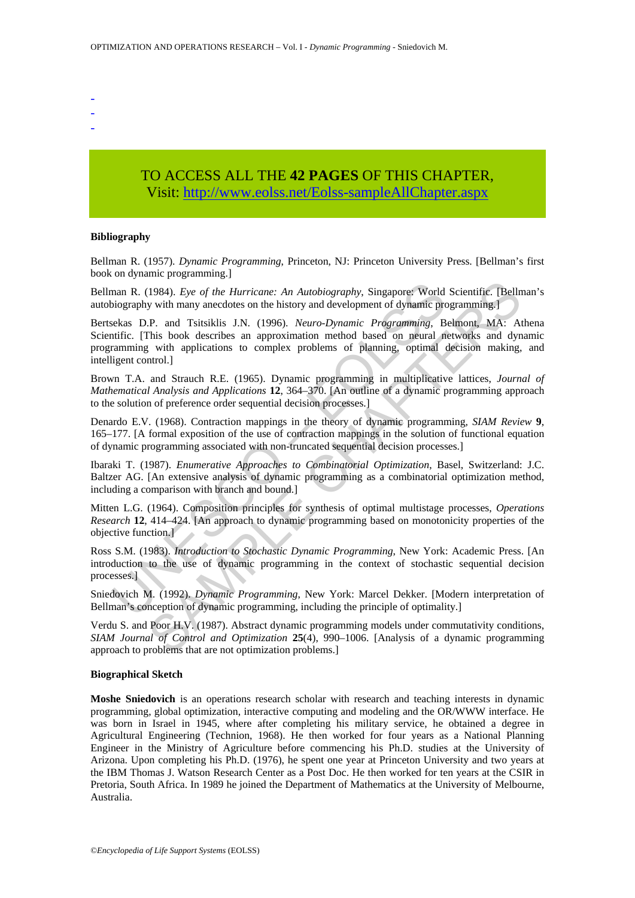- -
- -
- -

# TO ACCESS ALL THE **42 PAGES** OF THIS CHAPTER, Visit: [http://www.eolss.net/Eolss-sampleAllChapter.aspx](https://www.eolss.net/ebooklib/sc_cart.aspx?File=E6-05-01-04)

#### **Bibliography**

Bellman R. (1957). *Dynamic Programming*, Princeton, NJ: Princeton University Press. [Bellman's first book on dynamic programming.]

Bellman R. (1984). *Eye of the Hurricane: An Autobiography*, Singapore: World Scientific. [Bellman's autobiography with many anecdotes on the history and development of dynamic programming.]

man R. (1984). *Eye of the Hurricane: An Autobiography*, Singapore: World<br>biography with many anecdotes on the history and development of dynamic processes D.P. and Tsitsiklis J.N. (1996). *Neuro-Dynamic Programming*, B<br>el (1984). Eye of the Hurricane: An Autobiography, Singapore: World Scientific. [Bellny with many anecdotes on the history and development of dynamic programming.]<br>P. and Tsitsikis J.N. (1996). Neuro-Dynamic Programming. Bel Bertsekas D.P. and Tsitsiklis J.N. (1996). *Neuro-Dynamic Programming*, Belmont, MA: Athena Scientific. [This book describes an approximation method based on neural networks and dynamic programming with applications to complex problems of planning, optimal decision making, and intelligent control.]

Brown T.A. and Strauch R.E. (1965). Dynamic programming in multiplicative lattices, *Journal of Mathematical Analysis and Applications* **12**, 364–370. [An outline of a dynamic programming approach to the solution of preference order sequential decision processes.]

Denardo E.V. (1968). Contraction mappings in the theory of dynamic programming*, SIAM Review* **9**, 165–177. [A formal exposition of the use of contraction mappings in the solution of functional equation of dynamic programming associated with non-truncated sequential decision processes.]

Ibaraki T. (1987). *Enumerative Approaches to Combinatorial Optimization*, Basel, Switzerland: J.C. Baltzer AG. [An extensive analysis of dynamic programming as a combinatorial optimization method, including a comparison with branch and bound.]

Mitten L.G. (1964). Composition principles for synthesis of optimal multistage processes, *Operations Research* **12**, 414–424. [An approach to dynamic programming based on monotonicity properties of the objective function.]

Ross S.M. (1983). *Introduction to Stochastic Dynamic Programming*, New York: Academic Press. [An introduction to the use of dynamic programming in the context of stochastic sequential decision processes.]

Sniedovich M. (1992). *Dynamic Programming*, New York: Marcel Dekker. [Modern interpretation of Bellman's conception of dynamic programming, including the principle of optimality.]

Verdu S. and Poor H.V. (1987). Abstract dynamic programming models under commutativity conditions, *SIAM Journal of Control and Optimization* **25**(4), 990–1006. [Analysis of a dynamic programming approach to problems that are not optimization problems.]

#### **Biographical Sketch**

**Moshe Sniedovich** is an operations research scholar with research and teaching interests in dynamic programming, global optimization, interactive computing and modeling and the OR/WWW interface. He was born in Israel in 1945, where after completing his military service, he obtained a degree in Agricultural Engineering (Technion, 1968). He then worked for four years as a National Planning Engineer in the Ministry of Agriculture before commencing his Ph.D. studies at the University of Arizona. Upon completing his Ph.D. (1976), he spent one year at Princeton University and two years at the IBM Thomas J. Watson Research Center as a Post Doc. He then worked for ten years at the CSIR in Pretoria, South Africa. In 1989 he joined the Department of Mathematics at the University of Melbourne, Australia.